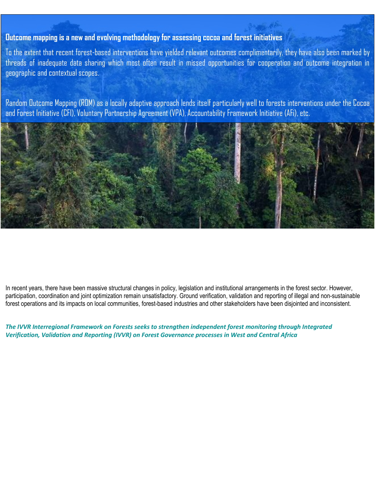## **Outcome mapping is a new and evolving methodology for assessing cocoa and forest initiatives**

To the extent that recent forest-based interventions have yielded relevant outcomes complimentarily, they have also been marked by threads of inadequate data sharing which most often result in missed opportunities for cooperation and outcome integration in geographic and contextual scopes.

Random Outcome Mapping (ROM) as a locally adaptive approach lends itself particularly well to forests interventions under the Cocoa and Forest Initiative (CFI), Voluntary Partnership Agreement (VPA), Accountability Framework Initiative (AFi), etc.



In recent years, there have been massive structural changes in policy, legislation and institutional arrangements in the forest sector. However, participation, coordination and joint optimization remain unsatisfactory. Ground verification, validation and reporting of illegal and non-sustainable forest operations and its impacts on local communities, forest-based industries and other stakeholders have been disjointed and inconsistent.

*The IVVR Interregional Framework on Forests seeks to strengthen independent forest monitoring through Integrated Verification, Validation and Reporting (IVVR) on Forest Governance processes in West and Central Africa*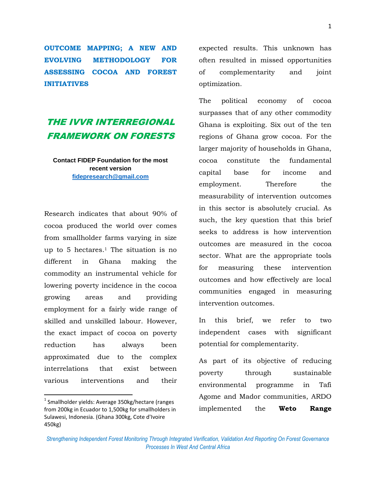**OUTCOME MAPPING; A NEW AND EVOLVING METHODOLOGY FOR ASSESSING COCOA AND FOREST INITIATIVES** 

## THE IVVR INTERREGIONAL FRAMEWORK ON FORESTS

**Contact FIDEP Foundation for the most recent version [fidepresearch@gmail.com](mailto:fidepresearch@gmail.com)**

Research indicates that about 90% of cocoa produced the world over comes from smallholder farms varying in size up to 5 hectares.<sup>1</sup> The situation is no different in Ghana making the commodity an instrumental vehicle for lowering poverty incidence in the cocoa growing areas and providing employment for a fairly wide range of skilled and unskilled labour. However, the exact impact of cocoa on poverty reduction has always been approximated due to the complex interrelations that exist between various interventions and their

 $^1$  Smallholder yields: Average 350kg/hectare (ranges from 200kg in Ecuador to 1,500kg for smallholders in Sulawesi, Indonesia. (Ghana 300kg, Cote d'Ivoire 450kg)

 $\overline{\phantom{a}}$ 

expected results. This unknown has often resulted in missed opportunities of complementarity and joint optimization.

The political economy of cocoa surpasses that of any other commodity Ghana is exploiting. Six out of the ten regions of Ghana grow cocoa. For the larger majority of households in Ghana, cocoa constitute the fundamental capital base for income and employment. Therefore the measurability of intervention outcomes in this sector is absolutely crucial. As such, the key question that this brief seeks to address is how intervention outcomes are measured in the cocoa sector. What are the appropriate tools for measuring these intervention outcomes and how effectively are local communities engaged in measuring intervention outcomes.

In this brief, we refer to two independent cases with significant potential for complementarity.

As part of its objective of reducing poverty through sustainable environmental programme in Tafi Agome and Mador communities, ARDO implemented the **Weto Range** 

*Strengthening Independent Forest Monitoring Through Integrated Verification, Validation And Reporting On Forest Governance Processes In West And Central Africa*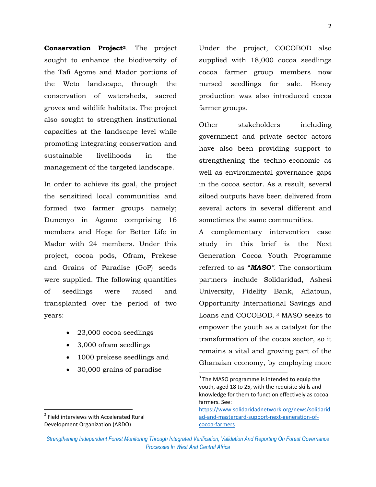**Conservation Project2**. The project sought to enhance the biodiversity of the Tafi Agome and Mador portions of the Weto landscape, through the conservation of watersheds, sacred groves and wildlife habitats. The project also sought to strengthen institutional capacities at the landscape level while promoting integrating conservation and sustainable livelihoods in the management of the targeted landscape.

In order to achieve its goal, the project the sensitized local communities and formed two farmer groups namely; Dunenyo in Agome comprising 16 members and Hope for Better Life in Mador with 24 members. Under this project, cocoa pods, Ofram, Prekese and Grains of Paradise (GoP) seeds were supplied. The following quantities of seedlings were raised and transplanted over the period of two years:

- 23,000 cocoa seedlings
- 3,000 ofram seedlings
- 1000 prekese seedlings and
- 30,000 grains of paradise

Under the project, COCOBOD also supplied with 18,000 cocoa seedlings cocoa farmer group members now nursed seedlings for sale. Honey production was also introduced cocoa farmer groups.

Other stakeholders including government and private sector actors have also been providing support to strengthening the techno-economic as well as environmental governance gaps in the cocoa sector. As a result, several siloed outputs have been delivered from several actors in several different and sometimes the same communities.

A complementary intervention case study in this brief is the Next Generation Cocoa Youth Programme referred to as "*MASO".* The consortium partners include Solidaridad, Ashesi University, Fidelity Bank, Aflatoun, Opportunity International Savings and Loans and COCOBOD. <sup>3</sup> MASO seeks to empower the youth as a catalyst for the transformation of the cocoa sector, so it remains a vital and growing part of the Ghanaian economy, by employing more

 $\overline{\phantom{a}}$ 

*Strengthening Independent Forest Monitoring Through Integrated Verification, Validation And Reporting On Forest Governance Processes In West And Central Africa*

 $\overline{a}$ 

 $3$  The MASO programme is intended to equip the youth, aged 18 to 25, with the requisite skills and knowledge for them to function effectively as cocoa farmers. See:

[https://www.solidaridadnetwork.org/news/solidarid](https://www.solidaridadnetwork.org/news/solidaridad-and-mastercard-support-next-generation-of-cocoa-farmers) [ad-and-mastercard-support-next-generation-of](https://www.solidaridadnetwork.org/news/solidaridad-and-mastercard-support-next-generation-of-cocoa-farmers)[cocoa-farmers](https://www.solidaridadnetwork.org/news/solidaridad-and-mastercard-support-next-generation-of-cocoa-farmers)

<sup>&</sup>lt;sup>2</sup> Field interviews with Accelerated Rural Development Organization (ARDO)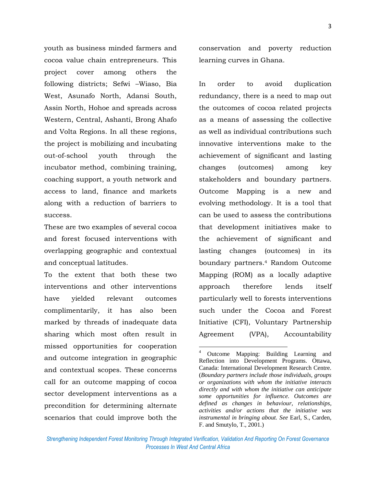youth as business minded farmers and cocoa value chain entrepreneurs. This project cover among others the following districts; Sefwi –Wiaso, Bia West, Asunafo North, Adansi South, Assin North, Hohoe and spreads across Western, Central, Ashanti, Brong Ahafo and Volta Regions. In all these regions, the project is mobilizing and incubating out-of-school youth through the incubator method, combining training, coaching support, a youth network and access to land, finance and markets along with a reduction of barriers to success.

These are two examples of several cocoa and forest focused interventions with overlapping geographic and contextual and conceptual latitudes.

To the extent that both these two interventions and other interventions have yielded relevant outcomes complimentarily, it has also been marked by threads of inadequate data sharing which most often result in missed opportunities for cooperation and outcome integration in geographic and contextual scopes. These concerns call for an outcome mapping of cocoa sector development interventions as a precondition for determining alternate scenarios that could improve both the

conservation and poverty reduction learning curves in Ghana.

In order to avoid duplication redundancy, there is a need to map out the outcomes of cocoa related projects as a means of assessing the collective as well as individual contributions such innovative interventions make to the achievement of significant and lasting changes (outcomes) among key stakeholders and boundary partners. Outcome Mapping is a new and evolving methodology. It is a tool that can be used to assess the contributions that development initiatives make to the achievement of significant and lasting changes (outcomes) in its boundary partners.<sup>4</sup> Random Outcome Mapping (ROM) as a locally adaptive approach therefore lends itself particularly well to forests interventions such under the Cocoa and Forest Initiative (CFI), Voluntary Partnership Agreement (VPA), Accountability

*Strengthening Independent Forest Monitoring Through Integrated Verification, Validation And Reporting On Forest Governance Processes In West And Central Africa*

 $\overline{\phantom{a}}$ 

Outcome Mapping: Building Learning and Reflection into Development Programs. Ottawa, Canada: International Development Research Centre. (*Boundary partners include those individuals, groups or organizations with whom the initiative interacts directly and with whom the initiative can anticipate some opportunities for influence. Outcomes are defined as changes in behaviour, relationships, activities and/or actions that the initiative was instrumental in bringing about. See* Earl, S., Carden, F. and Smutylo, T., 2001.)